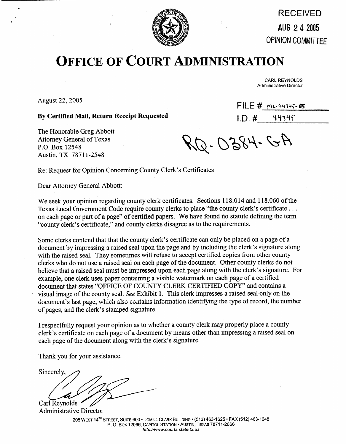

RECEIVED AUG **2 4** 2405 **OPINION COhMlTTEE** 

## **OFFICE OF COURT ADMINISTRATION**

CARL REYNOLDS Administrative Director

 $FILE \#$   $M-L$  44345-05

August 22,2005

By Certified Mail, Return Receipt Requested **I.D. # 'the filter's** 

The Honorable Greg Abbott Attorney General of Texas P.O. Box 12548 Austin, TX 78711-2548

RQ-0384-GA

Re: Request for Opinion Concerning County Clerk's Certificates

Dear Attorney General Abbott:

We seek your opinion regarding county clerk certificates. Sections 118.014 and 118.060 of the Texas Local Government Code require county clerks to place "the county clerk's certificate . . . on each page or part of a page" of certified papers. We have found no statute defining the term "county clerk's certificate," and county clerks disagree as to the requirements.

Some clerks contend that that the county clerk's certificate can only be placed on a page of a document by impressing a raised seal upon the page and by including the clerk's signature along with the raised seal. They sometimes will refuse to accept certified copies from other county clerks who do not use a raised seal on each page of the document. Other county clerks do not believe that a raised seal must be impressed upon each page along with the clerk's signature. For example, one clerk uses paper containing a visible watermark on each page of a certified document that states "OFFICE OF COUNTY CLERK CERTIFIED COPY" and contains a visual image of the county seal. See Exhibit 1. This clerk impresses a raised seal only on the document's last page, which also contains information identifying the type of record, the number of pages, and the clerk's stamped signature.

I respectfully request your opinion as to whether a county clerk may properly place a county clerk's certificate on each page of a document by means other than impressing a raised seal on each page of the document along with the clerk's signature.

Thank you for your assistance.

Sincerely, Carl Reynolds

Administrative Director

**205 WEST 14" STREET, SUITE 600** l **TOM C. CLARK BUILDING** l **(512) 463-l 625** l **FAX (512) 463-l 648 P. 0. Box 12066, CAPITOL STATION** l **AUSTIN, TEXAS 7871 I-2066**  http://www.courts.state.tx.us